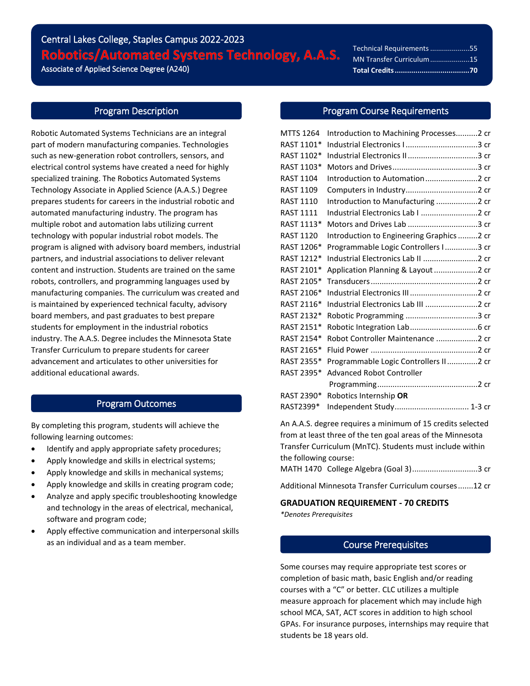# Central Lakes College, Staples Campus 2022-2023 Robotics/Automated Systems Technology, A.A.S. Associate of Applied Science Degree (A240)

Technical Requirements....................55 MN Transfer Curriculum....................15 **Total Credits....................................70**

## Program Description

Robotic Automated Systems Technicians are an integral part of modern manufacturing companies. Technologies such as new-generation robot controllers, sensors, and electrical control systems have created a need for highly specialized training. The Robotics Automated Systems Technology Associate in Applied Science (A.A.S.) Degree prepares students for careers in the industrial robotic and automated manufacturing industry. The program has multiple robot and automation labs utilizing current technology with popular industrial robot models. The program is aligned with advisory board members, industrial partners, and industrial associations to deliver relevant content and instruction. Students are trained on the same robots, controllers, and programming languages used by manufacturing companies. The curriculum was created and is maintained by experienced technical faculty, advisory board members, and past graduates to best prepare students for employment in the industrial robotics industry. The A.A.S. Degree includes the Minnesota State Transfer Curriculum to prepare students for career advancement and articulates to other universities for additional educational awards.

## Program Outcomes

By completing this program, students will achieve the following learning outcomes:

- Identify and apply appropriate safety procedures;
- Apply knowledge and skills in electrical systems;
- Apply knowledge and skills in mechanical systems;
- Apply knowledge and skills in creating program code;
- Analyze and apply specific troubleshooting knowledge and technology in the areas of electrical, mechanical, software and program code;
- Apply effective communication and interpersonal skills as an individual and as a team member.

## Program Course Requirements

֦֘

| <b>MTTS 1264</b> | Introduction to Machining Processes2 cr   |  |
|------------------|-------------------------------------------|--|
| RAST 1101*       |                                           |  |
| RAST 1102*       | Industrial Electronics II3 cr             |  |
| RAST 1103*       |                                           |  |
| <b>RAST 1104</b> |                                           |  |
| <b>RAST 1109</b> |                                           |  |
| <b>RAST 1110</b> | Introduction to Manufacturing 2 cr        |  |
| <b>RAST 1111</b> | Industrial Electronics Lab I 2 cr         |  |
| RAST 1113*       | Motors and Drives Lab 3 cr                |  |
| <b>RAST 1120</b> | Introduction to Engineering Graphics 2 cr |  |
| RAST 1206*       | Programmable Logic Controllers I3 cr      |  |
| RAST 1212*       | Industrial Electronics Lab II 2 cr        |  |
| RAST 2101*       | Application Planning & Layout 2 cr        |  |
| RAST 2105*       |                                           |  |
| RAST 2106*       |                                           |  |
| RAST 2116*       | Industrial Electronics Lab III 2 cr       |  |
| RAST 2132*       |                                           |  |
| RAST 2151*       |                                           |  |
| RAST 2154*       | Robot Controller Maintenance 2 cr         |  |
| RAST 2165*       |                                           |  |
| RAST 2355*       | Programmable Logic Controllers II2 cr     |  |
| RAST 2395*       | <b>Advanced Robot Controller</b>          |  |
|                  |                                           |  |
| RAST 2390*       | Robotics Internship OR                    |  |
| RAST2399*        | Independent Study 1-3 cr                  |  |
|                  |                                           |  |

An A.A.S. degree requires a minimum of 15 credits selected from at least three of the ten goal areas of the Minnesota Transfer Curriculum (MnTC). Students must include within the following course:

MATH 1470 College Algebra (Goal 3)..............................3 cr

Additional Minnesota Transfer Curriculum courses.......12 cr

# **GRADUATION REQUIREMENT - 70 CREDITS**

*\*Denotes Prerequisites*

# Course Prerequisites

Some courses may require appropriate test scores or completion of basic math, basic English and/or reading courses with a "C" or better. CLC utilizes a multiple measure approach for placement which may include high school MCA, SAT, ACT scores in addition to high school GPAs. For insurance purposes, internships may require that students be 18 years old.